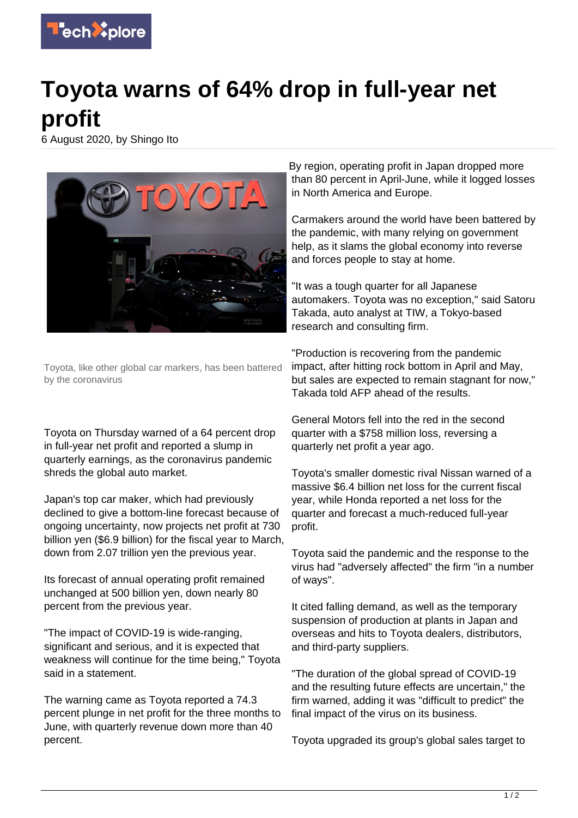

## **Toyota warns of 64% drop in full-year net profit**

6 August 2020, by Shingo Ito



Toyota, like other global car markers, has been battered by the coronavirus

Toyota on Thursday warned of a 64 percent drop in full-year net profit and reported a slump in quarterly earnings, as the coronavirus pandemic shreds the global auto market.

Japan's top car maker, which had previously declined to give a bottom-line forecast because of ongoing uncertainty, now projects net profit at 730 billion yen (\$6.9 billion) for the fiscal year to March, down from 2.07 trillion yen the previous year.

Its forecast of annual operating profit remained unchanged at 500 billion yen, down nearly 80 percent from the previous year.

"The impact of COVID-19 is wide-ranging, significant and serious, and it is expected that weakness will continue for the time being," Toyota said in a statement.

The warning came as Toyota reported a 74.3 percent plunge in net profit for the three months to June, with quarterly revenue down more than 40 percent.

By region, operating profit in Japan dropped more than 80 percent in April-June, while it logged losses in North America and Europe.

Carmakers around the world have been battered by the pandemic, with many relying on government help, as it slams the global economy into reverse and forces people to stay at home.

"It was a tough quarter for all Japanese automakers. Toyota was no exception," said Satoru Takada, auto analyst at TIW, a Tokyo-based research and consulting firm.

"Production is recovering from the pandemic impact, after hitting rock bottom in April and May, but sales are expected to remain stagnant for now," Takada told AFP ahead of the results.

General Motors fell into the red in the second quarter with a \$758 million loss, reversing a quarterly net profit a year ago.

Toyota's smaller domestic rival Nissan warned of a massive \$6.4 billion net loss for the current fiscal year, while Honda reported a net loss for the quarter and forecast a much-reduced full-year profit.

Toyota said the pandemic and the response to the virus had "adversely affected" the firm "in a number of ways".

It cited falling demand, as well as the temporary suspension of production at plants in Japan and overseas and hits to Toyota dealers, distributors, and third-party suppliers.

"The duration of the global spread of COVID-19 and the resulting future effects are uncertain," the firm warned, adding it was "difficult to predict" the final impact of the virus on its business.

Toyota upgraded its group's global sales target to